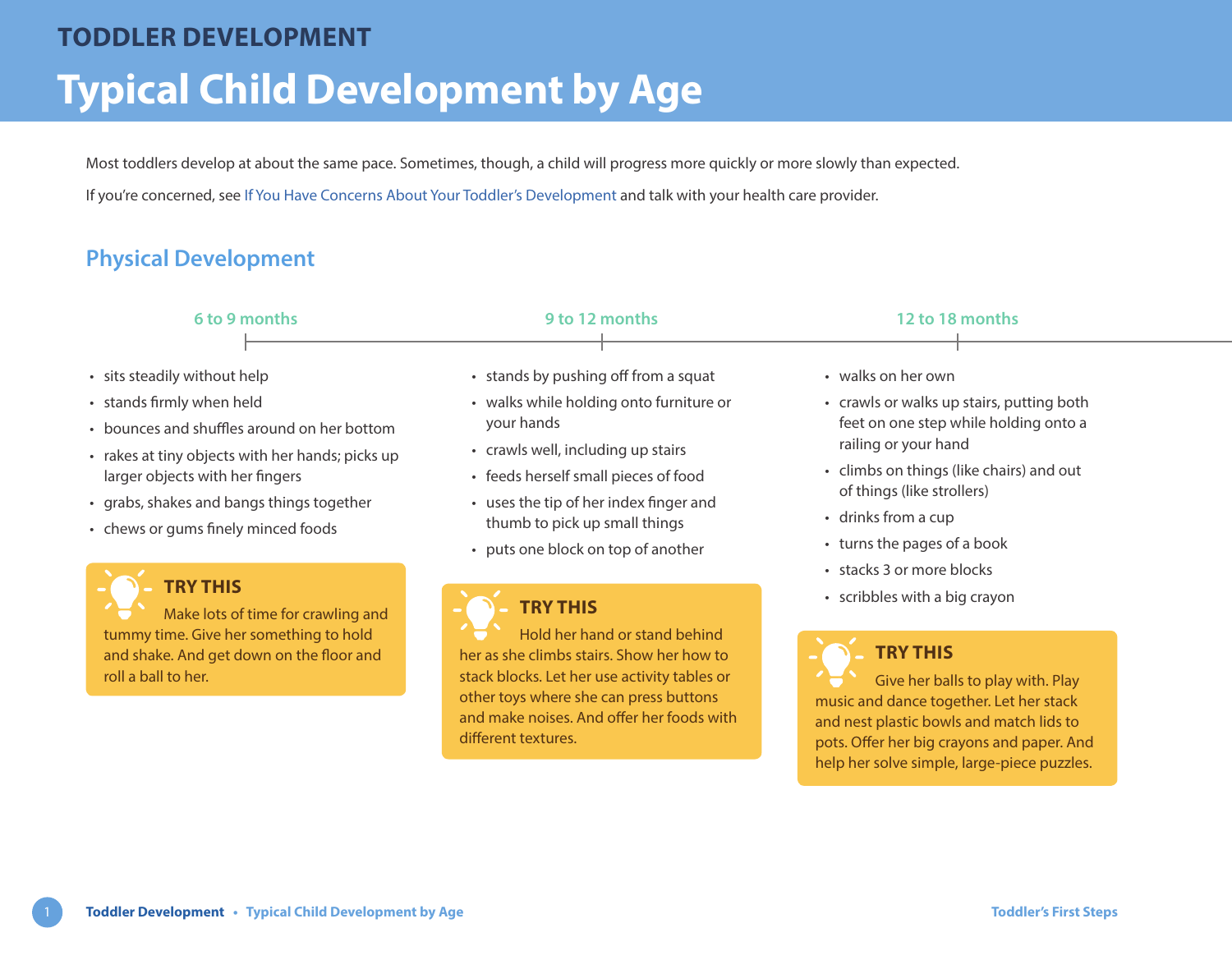# **Typical Child Development by Age TODDLER DEVELOPMENT**

Most toddlers develop at about the same pace. Sometimes, though, a child will progress more quickly or more slowly than expected.

If you're concerned, see [If You Have Concerns About Your Toddler's Development](https://www.healthlinkbc.ca/sites/default/files/documents/TFS_development-concerns.pdf) and talk with your health care provider.

## **Physical Development**

roll a ball to her.



her as she climbs stairs. Show her how to stack blocks. Let her use activity tables or other toys where she can press buttons and make noises. And offer her foods with different textures.

## **TRY THIS**

Give her balls to play with. Play music and dance together. Let her stack and nest plastic bowls and match lids to pots. Offer her big crayons and paper. And help her solve simple, large-piece puzzles.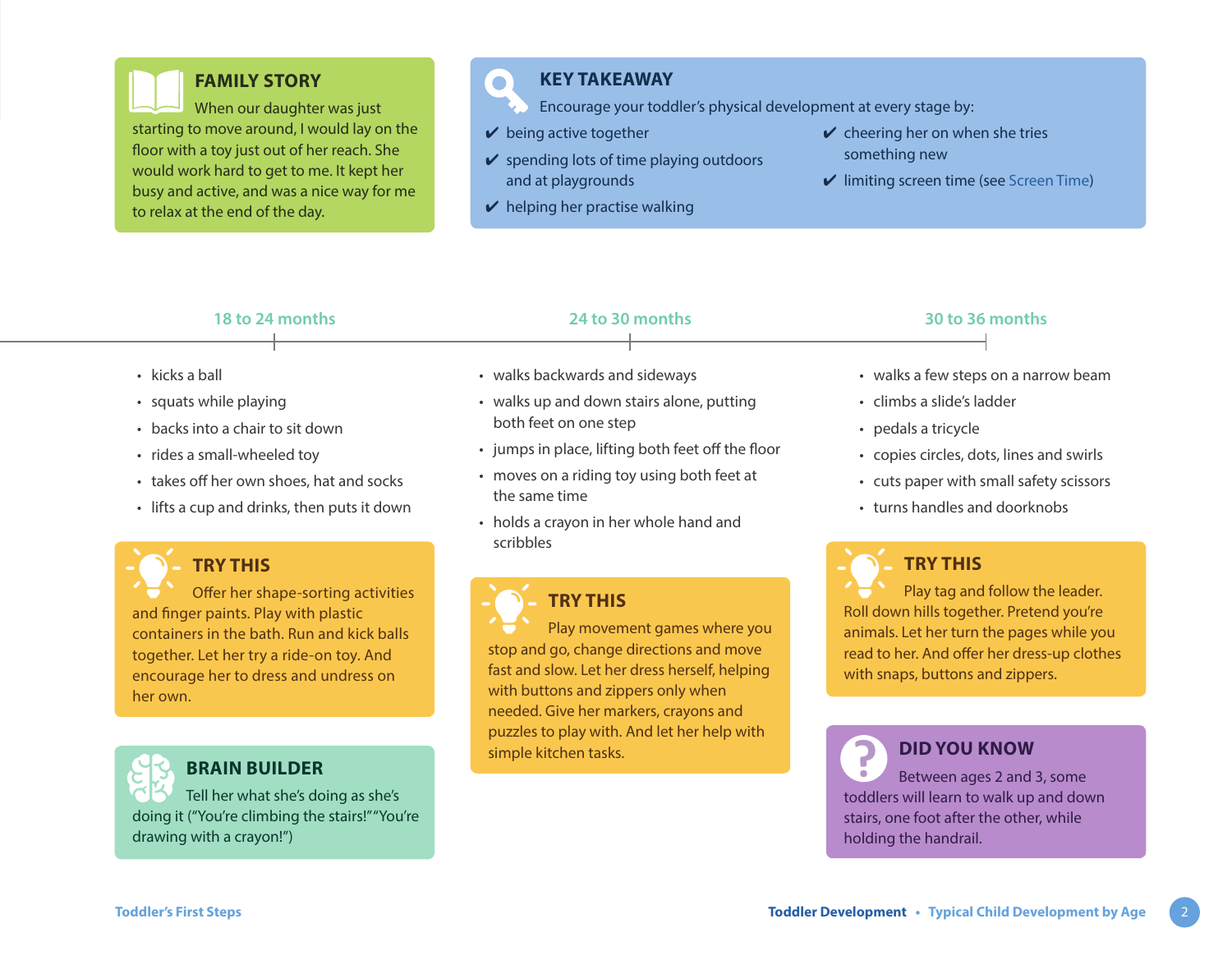

## **FAMILY STORY**

When our daughter was just starting to move around, I would lay on the floor with a toy just out of her reach. She would work hard to get to me. It kept her busy and active, and was a nice way for me to relax at the end of the day.

## **KEY TAKEAWAY**

- Encourage your toddler's physical development at every stage by:
- $\vee$  being active together

 $\bullet$ 

- $\vee$  spending lots of time playing outdoors and at playgrounds
- $\vee$  helping her practise walking
- $\vee$  cheering her on when she tries something new
- $\vee$  limiting screen time (see [Screen Time](https://www.healthlinkbc.ca/sites/default/files/documents/TFS_screen-time.pdf))

### **18 to 24 months 24 to 30 months 30 to 36 months**

- kicks a ball
- squats while playing
- backs into a chair to sit down
- rides a small-wheeled toy
- takes off her own shoes, hat and socks
- lifts a cup and drinks, then puts it down



## **TRY THIS**

Offer her shape-sorting activities and finger paints. Play with plastic containers in the bath. Run and kick balls together. Let her try a ride-on toy. And encourage her to dress and undress on her own.



## **BRAIN BUILDER**

Tell her what she's doing as she's doing it ("You're climbing the stairs!" "You're drawing with a crayon!")

- walks backwards and sideways
- walks up and down stairs alone, putting both feet on one step
- jumps in place, lifting both feet off the floor
- moves on a riding toy using both feet at the same time
- holds a crayon in her whole hand and scribbles

## **TRY THIS**

Play movement games where you stop and go, change directions and move fast and slow. Let her dress herself, helping with buttons and zippers only when needed. Give her markers, crayons and puzzles to play with. And let her help with simple kitchen tasks.

- walks a few steps on a narrow beam
- climbs a slide's ladder
- pedals a tricycle
- copies circles, dots, lines and swirls
- cuts paper with small safety scissors
- turns handles and doorknobs

## **TRY THIS**

Play tag and follow the leader. Roll down hills together. Pretend you're animals. Let her turn the pages while you read to her. And offer her dress-up clothes with snaps, buttons and zippers.

## **DID YOU KNOW**

Between ages 2 and 3, some toddlers will learn to walk up and down stairs, one foot after the other, while holding the handrail.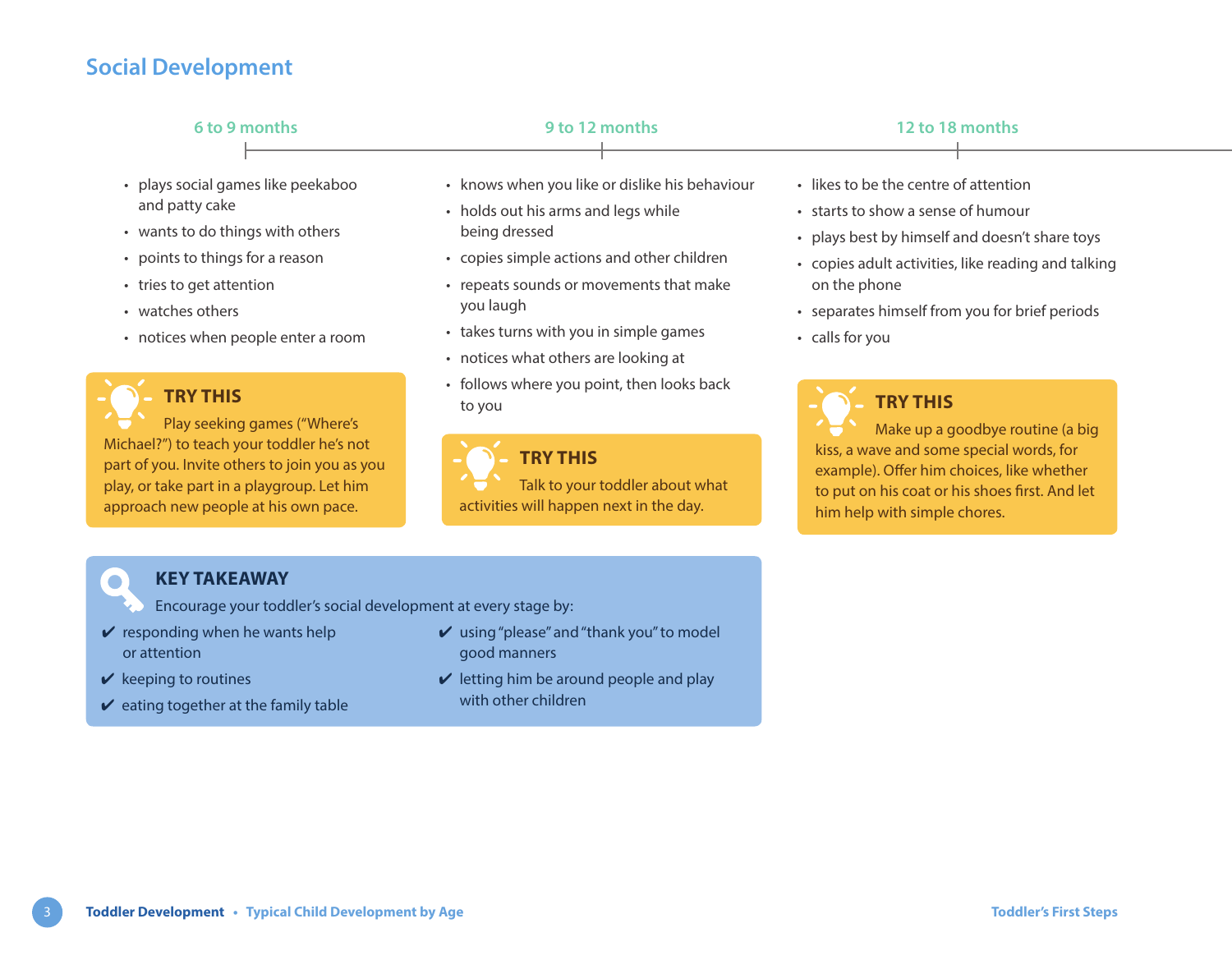## **Social Development**

| 6 to 9 months                                               | 9 to 12 months                                                                                         | 12 to 18 months                                                                      |  |
|-------------------------------------------------------------|--------------------------------------------------------------------------------------------------------|--------------------------------------------------------------------------------------|--|
| plays social games like peekaboo                            | • knows when you like or dislike his behaviour                                                         | • likes to be the centre of attention                                                |  |
| and patty cake<br>• wants to do things with others          | • holds out his arms and legs while<br>being dressed                                                   | • starts to show a sense of humour<br>• plays best by himself and doesn't share toys |  |
| • points to things for a reason<br>• tries to get attention | copies simple actions and other children<br>• repeats sounds or movements that make                    | • copies adult activities, like reading and talking<br>on the phone                  |  |
| • watches others<br>• notices when people enter a room      | you laugh<br>takes turns with you in simple games<br>$\bullet$<br>. notices what others are looking at | • separates himself from you for brief periods<br>• calls for you                    |  |

## **TRY THIS**

Michael?") to teach your toddler he's not part of you. Invite others to join you as you play, or take part in a playgroup. Let him approach new people at his own pace.

Play seeking games ("Where's

- notices what others are looking at
- follows where you point, then looks back to you

**TRY THIS** Talk to your toddler about what activities will happen next in the day.

## **TRY THIS**

Make up a goodbye routine (a big kiss, a wave and some special words, for example). Offer him choices, like whether to put on his coat or his shoes first. And let him help with simple chores.

## **KEY TAKEAWAY**

- Encourage your toddler's social development at every stage by:
- $\vee$  responding when he wants help or attention
- $\vee$  keeping to routines

 $\bullet$ 

- $\vee$  eating together at the family table
- $\boldsymbol{\nu}$  using "please" and "thank you" to model good manners
- $\vee$  letting him be around people and play with other children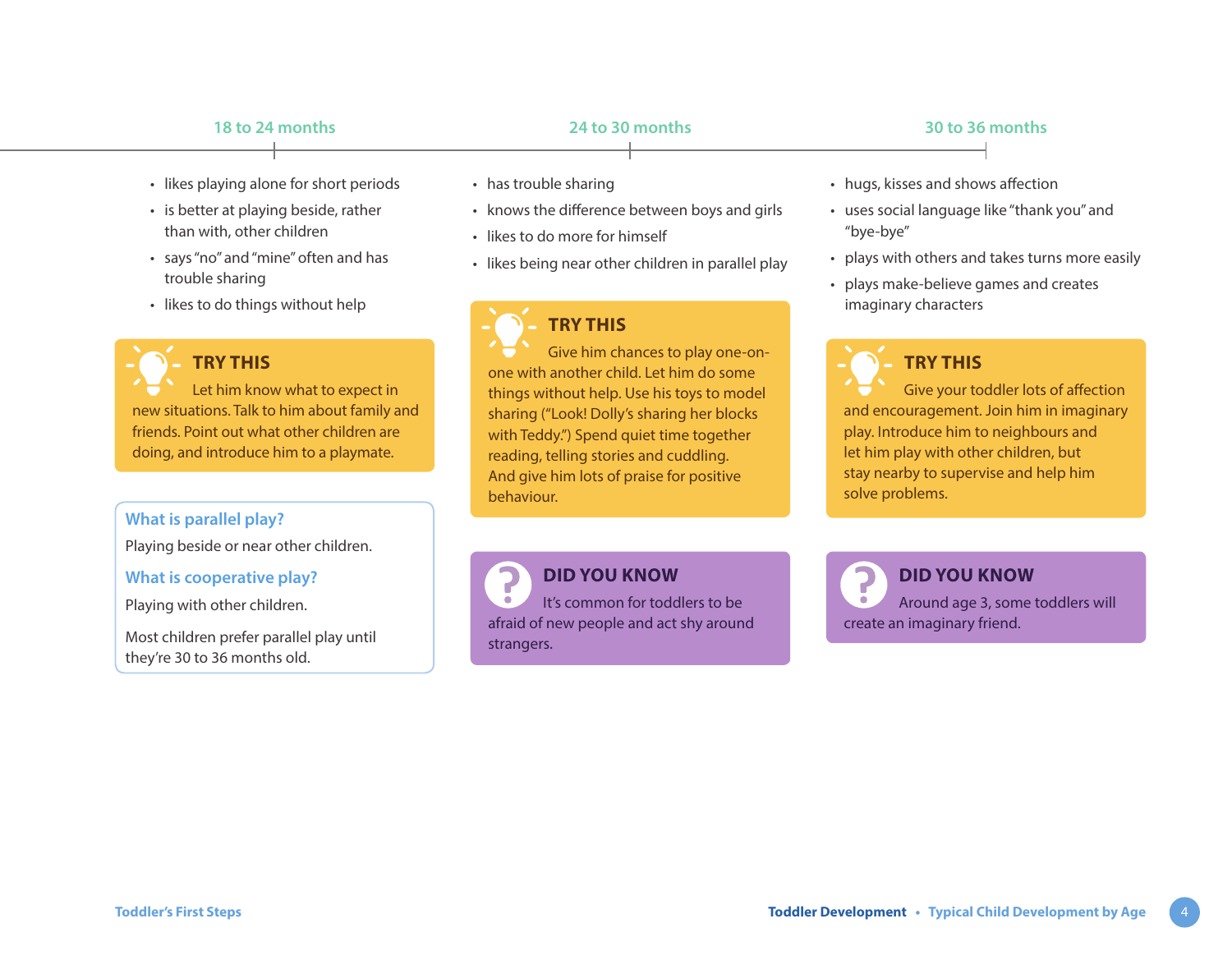- likes playing alone for short periods
- is better at playing beside, rather than with, other children
- says "no" and "mine" often and has trouble sharing
- likes to do things without help



### **TRY THIS**

Let him know what to expect in new situations. Talk to him about family and friends. Point out what other children are doing, and introduce him to a playmate.

### **What is parallel play?**

Playing beside or near other children.

### **What is cooperative play?**

Playing with other children.

Most children prefer parallel play until they're 30 to 36 months old.

- has trouble sharing
- knows the difference between boys and girls
- likes to do more for himself
- likes being near other children in parallel play

## **TRY THIS**

Give him chances to play one-onone with another child. Let him do some things without help. Use his toys to model sharing ("Look! Dolly's sharing her blocks with Teddy.") Spend quiet time together reading, telling stories and cuddling. And give him lots of praise for positive behaviour.

**DID YOU KNOW**

It's common for toddlers to be afraid of new people and act shy around strangers.

- hugs, kisses and shows affection
- uses social language like "thank you" and "bye-bye"
- plays with others and takes turns more easily
- plays make-believe games and creates imaginary characters



Give your toddler lots of affection and encouragement. Join him in imaginary play. Introduce him to neighbours and let him play with other children, but stay nearby to supervise and help him solve problems.

**DID YOU KNOW** Around age 3, some toddlers will create an imaginary friend.

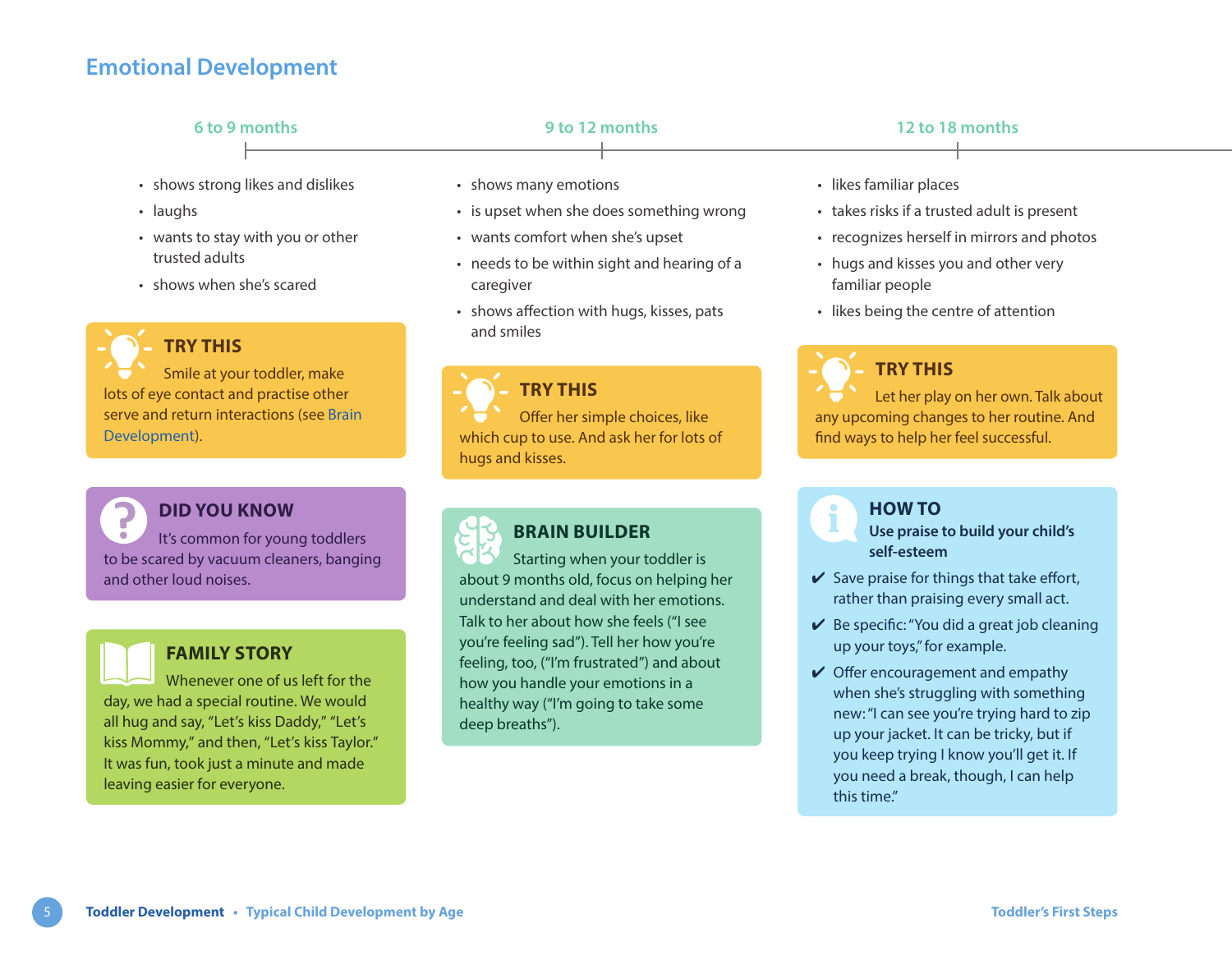## **Emotional Development**

trusted adults

**TRY THIS**

### • shows strong likes and dislikes • laughs • shows many emotions • is upset when she does something wrong • likes familiar places • takes risks if a trusted adult is present **6 to 9 months 9 to 12 months 12 to 18 months**

- wants comfort when she's upset
- needs to be within sight and hearing of a caregiver
- shows affection with hugs, kisses, pats and smiles

Smile at your toddler, make lots of eye contact and practise other serve and return interactions (see [Brain](https://www.healthlinkbc.ca/sites/default/files/documents/TFS_brain-development.pdf)  [Development](https://www.healthlinkbc.ca/sites/default/files/documents/TFS_brain-development.pdf)).

• wants to stay with you or other

• shows when she's scared





### **FAMILY STORY**

Whenever one of us left for the day, we had a special routine. We would all hug and say, "Let's kiss Daddy," "Let's kiss Mommy," and then, "Let's kiss Taylor." It was fun, took just a minute and made leaving easier for everyone.



## **TRY THIS**

Offer her simple choices, like which cup to use. And ask her for lots of hugs and kisses.

## **BRAIN BUILDER**

Starting when your toddler is about 9 months old, focus on helping her understand and deal with her emotions. Talk to her about how she feels ("I see you're feeling sad"). Tell her how you're feeling, too, ("I'm frustrated") and about how you handle your emotions in a healthy way ("I'm going to take some deep breaths").

- 
- recognizes herself in mirrors and photos
- hugs and kisses you and other very familiar people
- likes being the centre of attention

## **TRY THIS**

Let her play on her own. Talk about any upcoming changes to her routine. And find ways to help her feel successful.

# **HOW TO**

**Use praise to build your child's self-esteem**

- $\vee$  Save praise for things that take effort, rather than praising every small act.
- $\vee$  Be specific: "You did a great job cleaning up your toys," for example.
- $\vee$  Offer encouragement and empathy when she's struggling with something new: "I can see you're trying hard to zip up your jacket. It can be tricky, but if you keep trying I know you'll get it. If you need a break, though, I can help this time."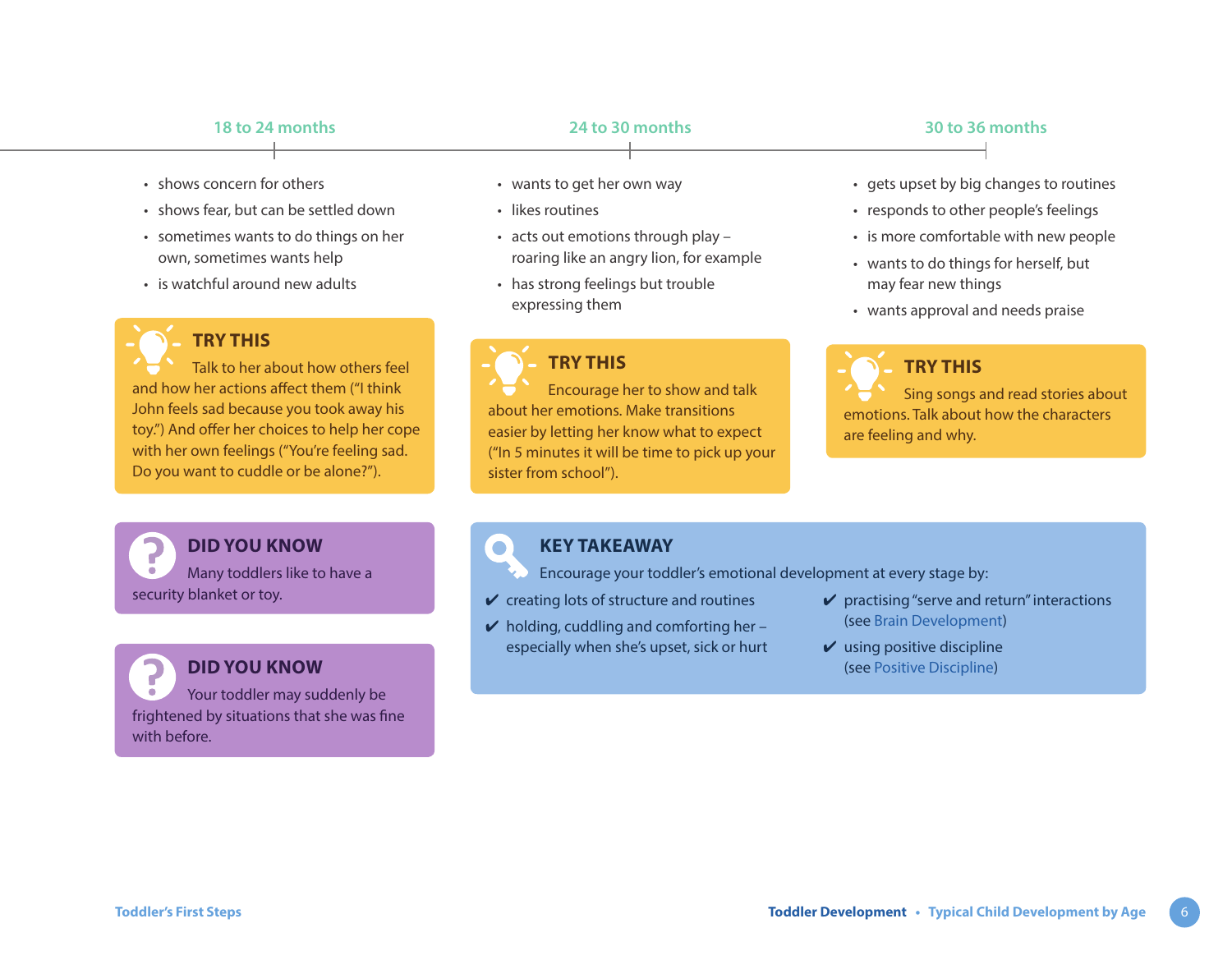- shows concern for others
- shows fear, but can be settled down
- sometimes wants to do things on her own, sometimes wants help
- is watchful around new adults



### **TRY THIS**

Talk to her about how others feel and how her actions affect them ("I think John feels sad because you took away his toy.") And offer her choices to help her cope with her own feelings ("You're feeling sad. Do you want to cuddle or be alone?").

**DID YOU KNOW** Many toddlers like to have a security blanket or toy.

**DID YOU KNOW** Your toddler may suddenly be frightened by situations that she was fine with before.

- wants to get her own way
- likes routines
- acts out emotions through play roaring like an angry lion, for example
- has strong feelings but trouble expressing them

## **TRY THIS**

Encourage her to show and talk about her emotions. Make transitions easier by letting her know what to expect ("In 5 minutes it will be time to pick up your sister from school").

### • gets upset by big changes to routines

- responds to other people's feelings
- is more comfortable with new people
- wants to do things for herself, but may fear new things
- wants approval and needs praise



emotions. Talk about how the characters are feeling and why.

### **KEY TAKEAWAY**

Encourage your toddler's emotional development at every stage by:

- $\vee$  creating lots of structure and routines
- $\vee$  holding, cuddling and comforting her especially when she's upset, sick or hurt
- $\vee$  practising "serve and return" interactions (see [Brain Development\)](https://www.healthlinkbc.ca/sites/default/files/documents/TFS_brain-development.pdf)
- $\boldsymbol{\nu}$  using positive discipline (see [Positive Discipline](https://www.healthlinkbc.ca/sites/default/files/documents/TFS_positive-discipline.pdf))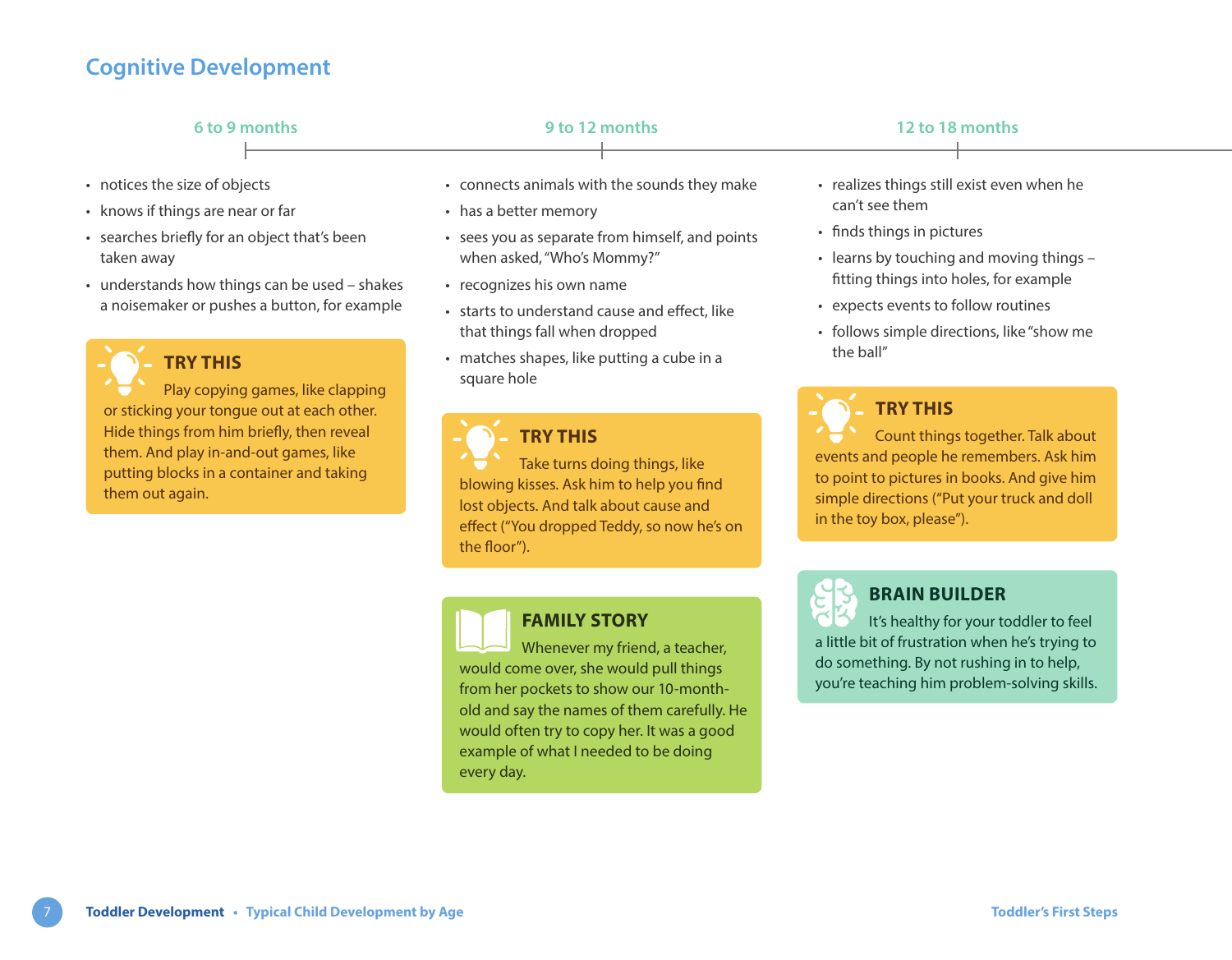## **Cognitive Development**

| 6 to 9 months                   |  | 9 to 12 months                               |  | 12 to 18 months                            |  |
|---------------------------------|--|----------------------------------------------|--|--------------------------------------------|--|
| notices the size of objects     |  | • connects animals with the sounds they make |  | • realizes things still exist even when he |  |
| knows if things are near or far |  | • has a better memory                        |  | can't see them                             |  |

- searches briefly for an object that's been taken away
- understands how things can be used shakes a noisemaker or pushes a button, for example

**TRY THIS**

Play copying games, like clapping or sticking your tongue out at each other. Hide things from him briefly, then reveal them. And play in-and-out games, like putting blocks in a container and taking them out again.

- sees you as separate from himself, and points when asked, "Who's Mommy?"
- recognizes his own name
- starts to understand cause and effect, like that things fall when dropped
- matches shapes, like putting a cube in a square hole

**TRY THIS** Take turns doing things, like blowing kisses. Ask him to help you find lost objects. And talk about cause and effect ("You dropped Teddy, so now he's on the floor").

## **FAMILY STORY**

Whenever my friend, a teacher, would come over, she would pull things from her pockets to show our 10-monthold and say the names of them carefully. He would often try to copy her. It was a good example of what I needed to be doing every day.

- finds things in pictures
- learns by touching and moving things fitting things into holes, for example
- expects events to follow routines
- follows simple directions, like "show me the ball"

## **TRY THIS**

Count things together. Talk about events and people he remembers. Ask him to point to pictures in books. And give him simple directions ("Put your truck and doll in the toy box, please").



## **BRAIN BUILDER**

It's healthy for your toddler to feel a little bit of frustration when he's trying to do something. By not rushing in to help, you're teaching him problem-solving skills.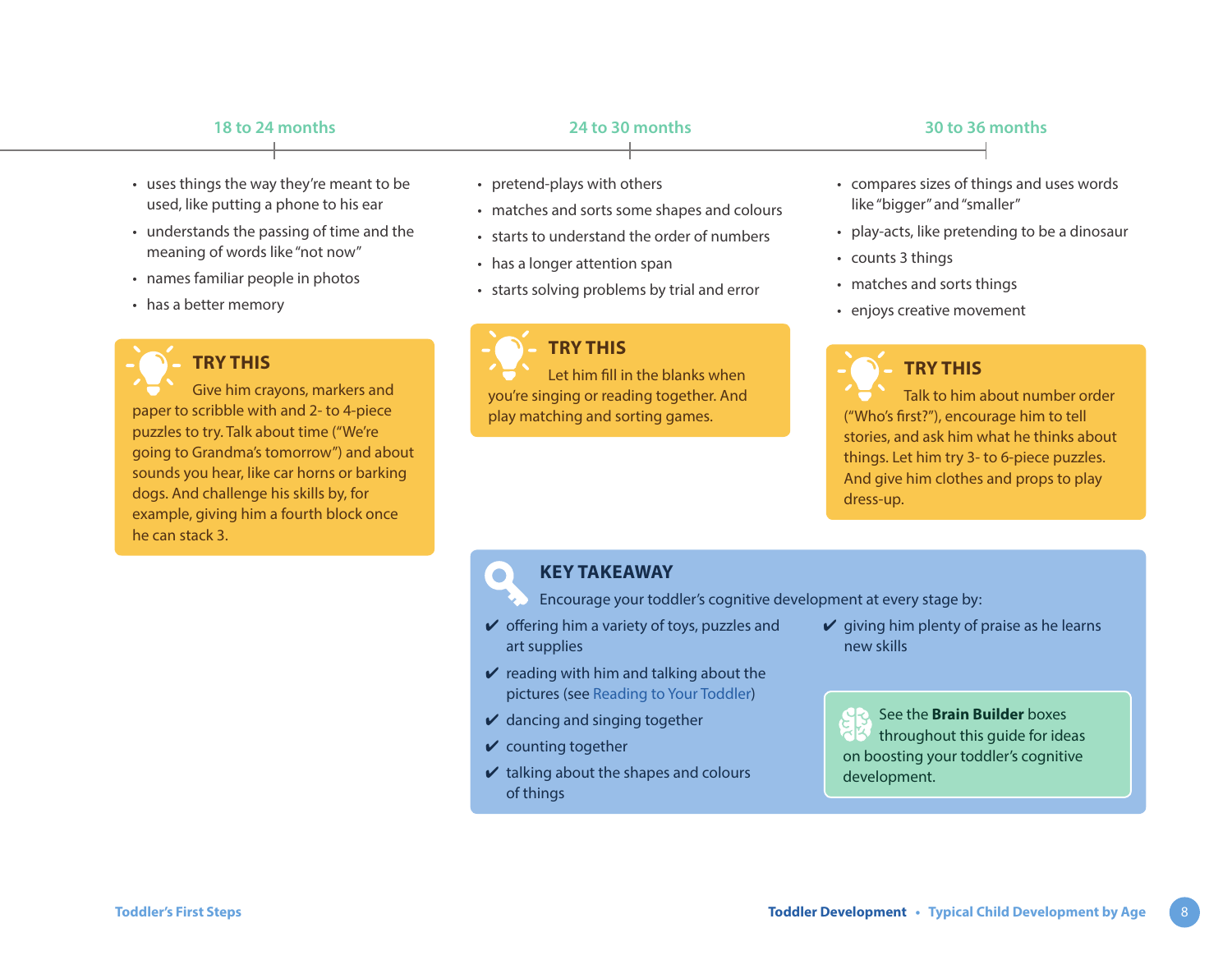- uses things the way they're meant to be used, like putting a phone to his ear
- understands the passing of time and the meaning of words like "not now"
- names familiar people in photos
- has a better memory



## **TRY THIS**

Give him crayons, markers and paper to scribble with and 2- to 4-piece puzzles to try. Talk about time ("We're going to Grandma's tomorrow") and about sounds you hear, like car horns or barking dogs. And challenge his skills by, for example, giving him a fourth block once he can stack 3.

- pretend-plays with others
- matches and sorts some shapes and colours
- starts to understand the order of numbers
- has a longer attention span
- starts solving problems by trial and error



### **TRY THIS**

Let him fill in the blanks when you're singing or reading together. And play matching and sorting games.

- compares sizes of things and uses words like "bigger" and "smaller"
- play-acts, like pretending to be a dinosaur
- counts 3 things
- matches and sorts things
- enjoys creative movement

## **TRY THIS**

Talk to him about number order ("Who's first?"), encourage him to tell stories, and ask him what he thinks about things. Let him try 3- to 6-piece puzzles. And give him clothes and props to play dress-up.

## **KEY TAKEAWAY**

Encourage your toddler's cognitive development at every stage by:

- $\vee$  offering him a variety of toys, puzzles and
- art supplies
- $\vee$  reading with him and talking about the pictures (see [Reading to Your Toddler\)](https://www.healthlinkbc.ca/sites/default/files/documents/TFS_reading.pdf)
- $\vee$  dancing and singing together
- $\vee$  counting together
- $\vee$  talking about the shapes and colours of things

 $\vee$  giving him plenty of praise as he learns new skills

See the **Brain Builder** boxes throughout this guide for ideas on boosting your toddler's cognitive development.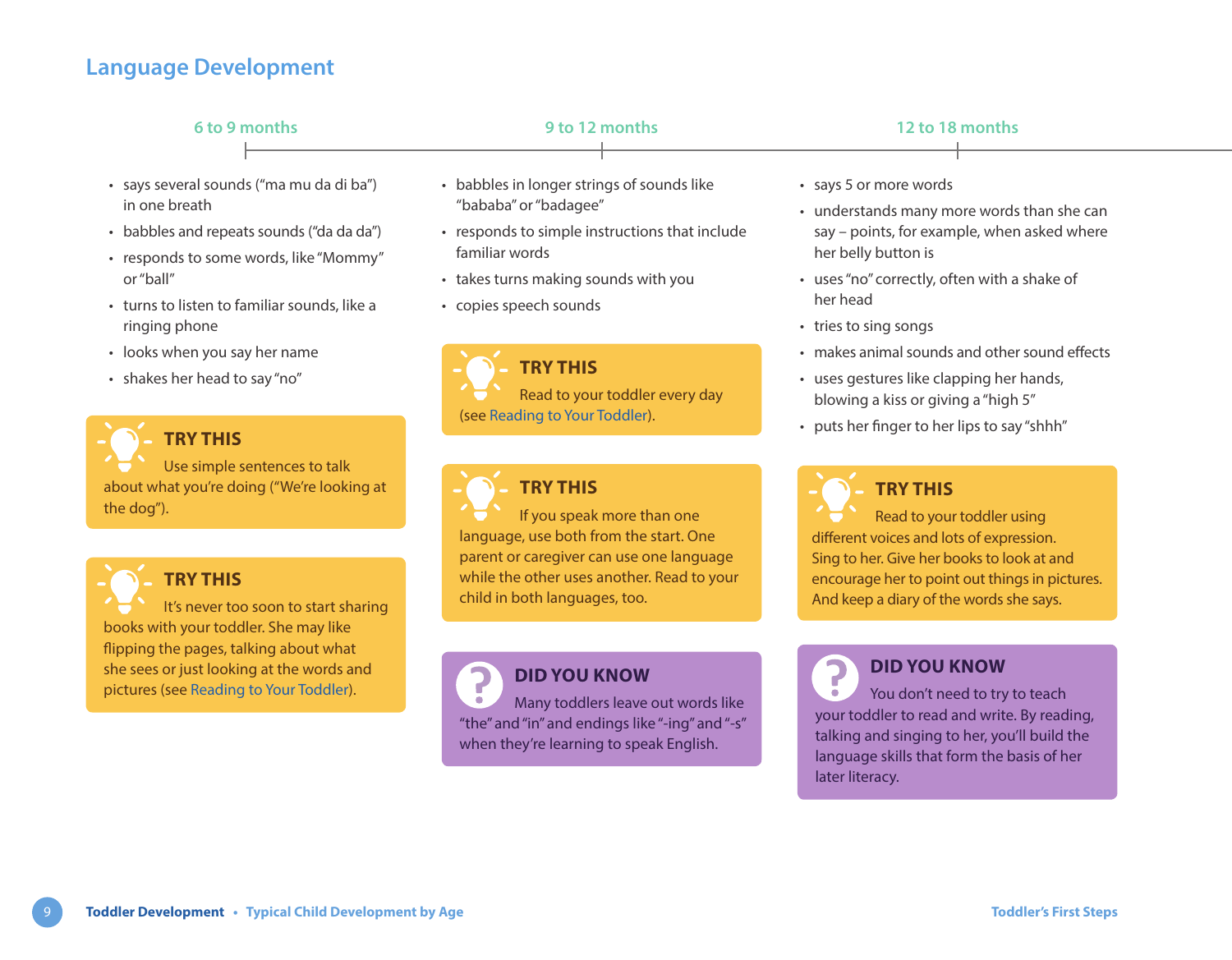## **Language Development**

| 6 to 9 months                                                                                                                                                                                                                                                                                    | 9 to 12 months                                                                                                                                                                                                                                          | 12 to 18 months                                                                                                                                                                                                                                                                                                                                                     |  |
|--------------------------------------------------------------------------------------------------------------------------------------------------------------------------------------------------------------------------------------------------------------------------------------------------|---------------------------------------------------------------------------------------------------------------------------------------------------------------------------------------------------------------------------------------------------------|---------------------------------------------------------------------------------------------------------------------------------------------------------------------------------------------------------------------------------------------------------------------------------------------------------------------------------------------------------------------|--|
| · says several sounds ("ma mu da di ba")<br>in one breath<br>• babbles and repeats sounds ("da da da")<br>• responds to some words, like "Mommy"<br>or "ball"<br>• turns to listen to familiar sounds, like a<br>ringing phone<br>• looks when you say her name<br>• shakes her head to say "no" | • babbles in longer strings of sounds like<br>"bababa" or "badagee"<br>• responds to simple instructions that include<br>familiar words<br>• takes turns making sounds with you<br>• copies speech sounds<br>TRY THIS<br>Read to your toddler every day | • says 5 or more words<br>• understands many more words than she can<br>say - points, for example, when asked where<br>her belly button is<br>• uses "no" correctly, often with a shake of<br>her head<br>• tries to sing songs<br>• makes animal sounds and other sound effects<br>• uses gestures like clapping her hands,<br>blowing a kiss or giving a "high 5" |  |
| <b>TRY THIS</b><br>Use simple sentences to talk<br>about what you're doing ("We're looking at<br>the dog").                                                                                                                                                                                      | (see Reading to Your Toddler).<br><b>TRY THIS</b><br>If you speak more than one                                                                                                                                                                         | • puts her finger to her lips to say "shhh"<br><b>TRY THIS</b><br>Read to your toddler using                                                                                                                                                                                                                                                                        |  |
| <b>TRY THIS</b><br>It's never too soon to start sharing                                                                                                                                                                                                                                          | language, use both from the start. One<br>parent or caregiver can use one language<br>while the other uses another. Read to your<br>child in both languages, too.                                                                                       | different voices and lots of expression.<br>Sing to her. Give her books to look at and<br>encourage her to point out things in pictures.<br>And keep a diary of the words she says.                                                                                                                                                                                 |  |

books with your toddler. She may like flipping the pages, talking about what she sees or just looking at the words and pictures (see [Reading to Your Toddler\)](https://www.healthlinkbc.ca/sites/default/files/documents/TFS_reading.pdf).

th<sup>-</sup>

7 Many toddlers leave out words like  $\bullet$ "the" and "in" and endings like "-ing" and "-s" when they're learning to speak English.

**DID YOU KNOW**

7 **DID YOU KNOW**  $\bar{\bullet}$ You don't need to try to teach your toddler to read and write. By reading, talking and singing to her, you'll build the language skills that form the basis of her later literacy.